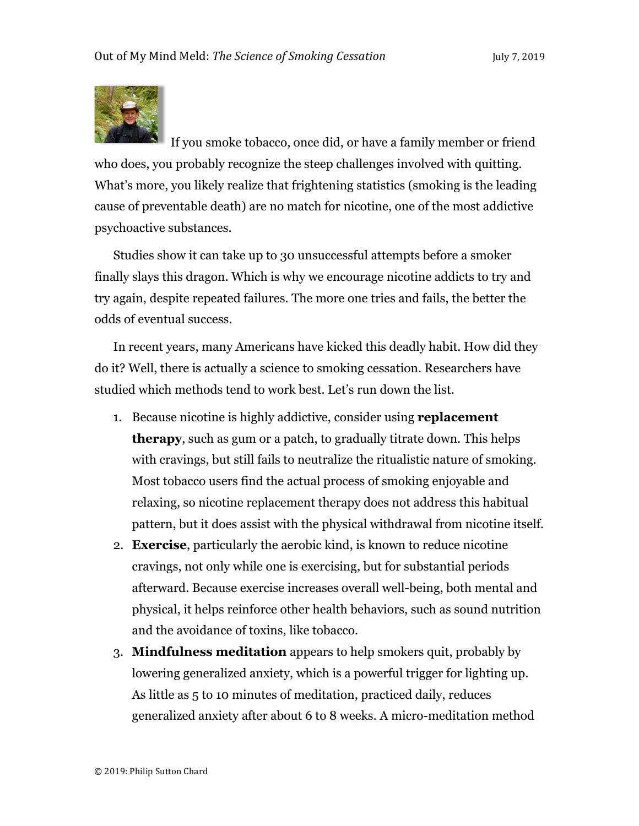

If you smoke tobacco, once did, or have a family member or friend who does, you probably recognize the steep challenges involved with quitting. What's more, you likely realize that frightening statistics (smoking is the leading cause of preventable death) are no match for nicotine, one of the most addictive psychoactive substances.

Studies show it can take up to 30 unsuccessful attempts before a smoker finally slays this dragon. Which is why we encourage nicotine addicts to try and try again, despite repeated failures. The more one tries and fails, the better the odds of eventual success.

In recent years, many Americans have kicked this deadly habit. How did they do it? Well, there is actually a science to smoking cessation. Researchers have studied which methods tend to work best. Let's run down the list.

- 1. Because nicotine is highly addictive, consider using **replacement therapy**, such as gum or a patch, to gradually titrate down. This helps with cravings, but still fails to neutralize the ritualistic nature of smoking. Most tobacco users find the actual process of smoking enjoyable and relaxing, so nicotine replacement therapy does not address this habitual pattern, but it does assist with the physical withdrawal from nicotine itself.
- 2. **Exercise**, particularly the aerobic kind, is known to reduce nicotine cravings, not only while one is exercising, but for substantial periods afterward. Because exercise increases overall well-being, both mental and physical, it helps reinforce other health behaviors, such as sound nutrition and the avoidance of toxins, like tobacco.
- 3. **Mindfulness meditation** appears to help smokers quit, probably by lowering generalized anxiety, which is a powerful trigger for lighting up. As little as 5 to 10 minutes of meditation, practiced daily, reduces generalized anxiety after about 6 to 8 weeks. A micro-meditation method